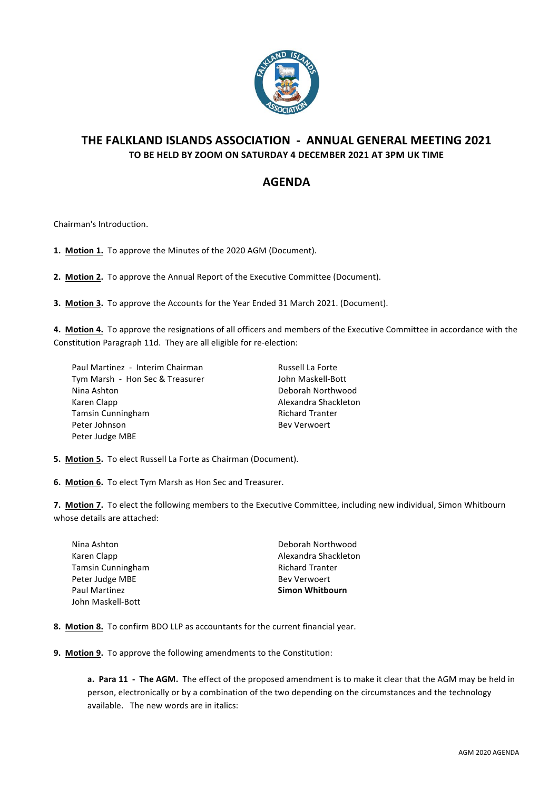

## **THE FALKLAND ISLANDS ASSOCIATION - ANNUAL GENERAL MEETING 2021 TO BE HELD BY ZOOM ON SATURDAY 4 DECEMBER 2021 AT 3PM UK TIME**

## **AGENDA**

Chairman's Introduction.

1. Motion 1. To approve the Minutes of the 2020 AGM (Document).

**2. Motion 2.** To approve the Annual Report of the Executive Committee (Document).

**3. Motion 3.** To approve the Accounts for the Year Ended 31 March 2021. (Document).

4. Motion 4. To approve the resignations of all officers and members of the Executive Committee in accordance with the Constitution Paragraph 11d. They are all eligible for re-election:

Paul Martinez - Interim Chairman Russell La Forte Tym Marsh - Hon Sec & Treasurer John Maskell-Bott Nina Ashton **Nina Ashton** Deborah Northwood Karen Clapp **Alexandra** Shackleton Tamsin Cunningham **Richard Tranter** Richard Tranter Peter Johnson **Bev** Verwoert Peter Judge MBE

**5. Motion 5.** To elect Russell La Forte as Chairman (Document).

**6. Motion 6.** To elect Tym Marsh as Hon Sec and Treasurer.

**7.** Motion 7. To elect the following members to the Executive Committee, including new individual, Simon Whitbourn whose details are attached:

| Nina Ashton              | Deborah Northwood      |
|--------------------------|------------------------|
| Karen Clapp              | Alexandra Shackleton   |
| <b>Tamsin Cunningham</b> | <b>Richard Tranter</b> |
| Peter Judge MBE          | <b>Bey Verwoert</b>    |
| <b>Paul Martinez</b>     | Simon Whitbourn        |
| John Maskell-Bott        |                        |

**8. Motion 8.** To confirm BDO LLP as accountants for the current financial year.

**9. Motion 9.** To approve the following amendments to the Constitution:

**a.** Para 11 - The AGM. The effect of the proposed amendment is to make it clear that the AGM may be held in person, electronically or by a combination of the two depending on the circumstances and the technology available. The new words are in italics: